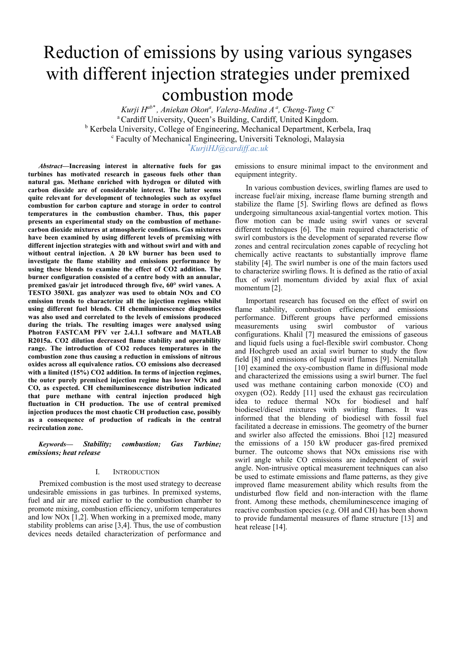# Reduction of emissions by using various syngases with different injection strategies under premixed combustion mode

 $Kurji H^{ab^*}$ , Aniekan Okon<sup>a</sup>, Valera-Medina A<sup>a</sup>, Cheng-Tung C<sup>c</sup> a Cardiff University, Queen's Building, Cardiff, United Kingdom. <sup>b</sup> Kerbela University, College of Engineering, Mechanical Department, Kerbela, Iraq<br>
<sup>c</sup> Esculty of Mechanical Engineering, Universiti Teknologi, Malaysia Faculty of Mechanical Engineering, Universiti Teknologi, Malaysia *\* KurjiHJ@cardiff.ac.uk* 

*Abstract***—Increasing interest in alternative fuels for gas turbines has motivated research in gaseous fuels other than natural gas. Methane enriched with hydrogen or diluted with carbon dioxide are of considerable interest. The latter seems quite relevant for development of technologies such as oxyfuel combustion for carbon capture and storage in order to control temperatures in the combustion chamber. Thus, this paper presents an experimental study on the combustion of methanecarbon dioxide mixtures at atmospheric conditions. Gas mixtures have been examined by using different levels of premixing with different injection strategies with and without swirl and with and without central injection. A 20 kW burner has been used to investigate the flame stability and emissions performance by using these blends to examine the effect of CO2 addition. The burner configuration consisted of a centre body with an annular, premixed gas/air jet introduced through five, 60° swirl vanes. A TESTO 350XL gas analyzer was used to obtain NOx and CO emission trends to characterize all the injection regimes whilst using different fuel blends. CH chemiluminescence diagnostics was also used and correlated to the levels of emissions produced during the trials. The resulting images were analysed using Photron FASTCAM PFV ver 2.4.1.1 software and MATLAB R2015a. CO2 dilution decreased flame stability and operability range. The introduction of CO2 reduces temperatures in the combustion zone thus causing a reduction in emissions of nitrous oxides across all equivalence ratios. CO emissions also decreased**  with a limited (15%) CO2 addition. In terms of injection regimes, **the outer purely premixed injection regime has lower NOx and CO, as expected. CH chemiluminescence distribution indicated that pure methane with central injection produced high fluctuation in CH production. The use of central premixed injection produces the most chaotic CH production case, possibly as a consequence of production of radicals in the central recirculation zone.** 

*Keywords— Stability; combustion; Gas Turbine; emissions; heat release*

# I. INTRODUCTION

Premixed combustion is the most used strategy to decrease undesirable emissions in gas turbines. In premixed systems, fuel and air are mixed earlier to the combustion chamber to promote mixing, combustion efficiency, uniform temperatures and low NOx [1,2]. When working in a premixed mode, many stability problems can arise [3,4]. Thus, the use of combustion devices needs detailed characterization of performance and emissions to ensure minimal impact to the environment and equipment integrity.

In various combustion devices, swirling flames are used to increase fuel/air mixing, increase flame burning strength and stabilize the flame [5]. Swirling flows are defined as flows undergoing simultaneous axial-tangential vortex motion. This flow motion can be made using swirl vanes or several different techniques [6]. The main required characteristic of swirl combustors is the development of separated reverse flow zones and central recirculation zones capable of recycling hot chemically active reactants to substantially improve flame stability [4]. The swirl number is one of the main factors used to characterize swirling flows. It is defined as the ratio of axial flux of swirl momentum divided by axial flux of axial momentum [2].

Important research has focused on the effect of swirl on flame stability, combustion efficiency and emissions performance. Different groups have performed emissions measurements using swirl combustor of various configurations. Khalil [7] measured the emissions of gaseous and liquid fuels using a fuel-flexible swirl combustor. Chong and Hochgreb used an axial swirl burner to study the flow field [8] and emissions of liquid swirl flames [9]. Nemitallah [10] examined the oxy-combustion flame in diffusional mode and characterized the emissions using a swirl burner. The fuel used was methane containing carbon monoxide (CO) and oxygen (O2). Reddy [11] used the exhaust gas recirculation idea to reduce thermal NOx for biodiesel and half biodiesel/diesel mixtures with swirling flames. It was informed that the blending of biodiesel with fossil fuel facilitated a decrease in emissions. The geometry of the burner and swirler also affected the emissions. Bhoi [12] measured the emissions of a 150 kW producer gas-fired premixed burner. The outcome shows that NOx emissions rise with swirl angle while CO emissions are independent of swirl angle. Non-intrusive optical measurement techniques can also be used to estimate emissions and flame patterns, as they give improved flame measurement ability which results from the undisturbed flow field and non-interaction with the flame front. Among these methods, chemiluminescence imaging of reactive combustion species (e.g. OH and CH) has been shown to provide fundamental measures of flame structure [13] and heat release [14].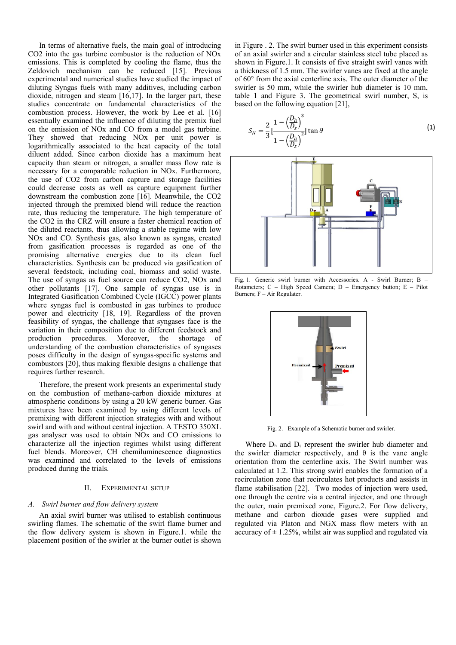In terms of alternative fuels, the main goal of introducing CO2 into the gas turbine combustor is the reduction of NOx emissions. This is completed by cooling the flame, thus the Zeldovich mechanism can be reduced [15]. Previous experimental and numerical studies have studied the impact of diluting Syngas fuels with many additives, including carbon dioxide, nitrogen and steam [16,17]. In the larger part, these studies concentrate on fundamental characteristics of the combustion process. However, the work by Lee et al. [16] essentially examined the influence of diluting the premix fuel on the emission of NOx and CO from a model gas turbine. They showed that reducing NOx per unit power is logarithmically associated to the heat capacity of the total diluent added. Since carbon dioxide has a maximum heat capacity than steam or nitrogen, a smaller mass flow rate is necessary for a comparable reduction in NOx. Furthermore, the use of CO2 from carbon capture and storage facilities could decrease costs as well as capture equipment further downstream the combustion zone [16]. Meanwhile, the CO2 injected through the premixed blend will reduce the reaction rate, thus reducing the temperature. The high temperature of the CO2 in the CRZ will ensure a faster chemical reaction of the diluted reactants, thus allowing a stable regime with low NOx and CO. Synthesis gas, also known as syngas, created from gasification processes is regarded as one of the promising alternative energies due to its clean fuel characteristics. Synthesis can be produced via gasification of several feedstock, including coal, biomass and solid waste. The use of syngas as fuel source can reduce CO2, NOx and other pollutants [17]. One sample of syngas use is in Integrated Gasification Combined Cycle (IGCC) power plants where syngas fuel is combusted in gas turbines to produce power and electricity [18, 19]. Regardless of the proven feasibility of syngas, the challenge that syngases face is the variation in their composition due to different feedstock and production procedures. Moreover, the shortage of understanding of the combustion characteristics of syngases poses difficulty in the design of syngas-specific systems and combustors [20], thus making flexible designs a challenge that requires further research.

Therefore, the present work presents an experimental study on the combustion of methane-carbon dioxide mixtures at atmospheric conditions by using a 20 kW generic burner. Gas mixtures have been examined by using different levels of premixing with different injection strategies with and without swirl and with and without central injection. A TESTO 350XL gas analyser was used to obtain NOx and CO emissions to characterize all the injection regimes whilst using different fuel blends. Moreover, CH chemiluminescence diagnostics was examined and correlated to the levels of emissions produced during the trials.

#### II. EXPERIMENTAL SETUP

#### *A. Swirl burner and flow delivery system*

An axial swirl burner was utilised to establish continuous swirling flames. The schematic of the swirl flame burner and the flow delivery system is shown in Figure.1. while the placement position of the swirler at the burner outlet is shown

in Figure . 2. The swirl burner used in this experiment consists of an axial swirler and a circular stainless steel tube placed as shown in Figure.1. It consists of five straight swirl vanes with a thickness of 1.5 mm. The swirler vanes are fixed at the angle of 60° from the axial centerline axis. The outer diameter of the swirler is 50 mm, while the swirler hub diameter is 10 mm, table 1 and Figure 3. The geometrical swirl number, S, is based on the following equation [21],

$$
S_N = \frac{2}{3} \left[ \frac{1 - \left( \frac{D_h}{D_s} \right)^3}{1 - \left( \frac{D_h}{D_s} \right)^2} \right] \tan \theta \tag{1}
$$



Fig. 1. Generic swirl burner with Accessories. A - Swirl Burner; B – Rotameters; C – High Speed Camera; D – Emergency button; E – Pilot Burners; F – Air Regulater.



Fig. 2. Example of a Schematic burner and swirler.

Where  $D_h$  and  $D_s$  represent the swirler hub diameter and the swirler diameter respectively, and  $\theta$  is the vane angle orientation from the centerline axis. The Swirl number was calculated at 1.2. This strong swirl enables the formation of a recirculation zone that recirculates hot products and assists in flame stabilisation [22]. Two modes of injection were used, one through the centre via a central injector, and one through the outer, main premixed zone, Figure.2. For flow delivery, methane and carbon dioxide gases were supplied and regulated via Platon and NGX mass flow meters with an accuracy of  $\pm$  1.25%, whilst air was supplied and regulated via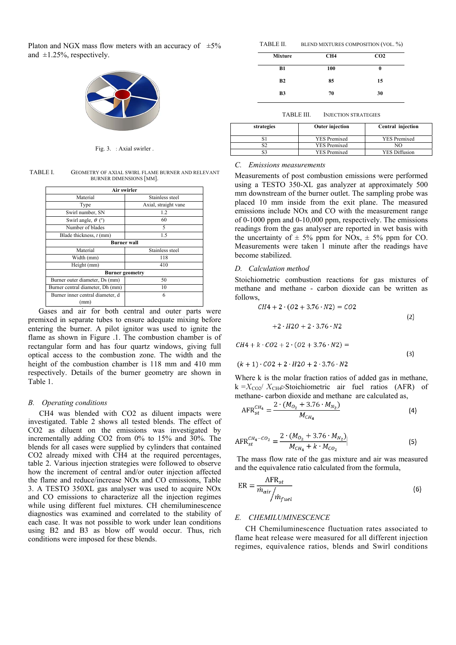Platon and NGX mass flow meters with an accuracy of  $\pm 5\%$ and  $\pm 1.25\%$ , respectively.



Fig. 3. : Axial swirler .

TABLE I. GEOMETRY OF AXIAL SWIRL FLAME BURNER AND RELEVANT BURNER DIMENSIONS [MM].

| Air swirler                         |                      |  |  |  |
|-------------------------------------|----------------------|--|--|--|
| Material                            | Stainless steel      |  |  |  |
| Type                                | Axial, straight vane |  |  |  |
| Swirl number, SN                    | 1.2                  |  |  |  |
| Swirl angle, $\theta$ ( $\degree$ ) | 60                   |  |  |  |
| Number of blades                    | 5                    |  |  |  |
| Blade thickness, t (mm)             | 1.5                  |  |  |  |
| <b>Burner</b> wall                  |                      |  |  |  |
| Material                            | Stainless steel      |  |  |  |
| Width (mm)                          | 118                  |  |  |  |
| Height (mm)                         | 410                  |  |  |  |
| <b>Burner</b> geometry              |                      |  |  |  |
| Burner outer diameter, Ds (mm)      | 50                   |  |  |  |
| Burner central diameter, Dh (mm)    | 10                   |  |  |  |
| Burner inner central diameter, d    | 6                    |  |  |  |
| (mm)                                |                      |  |  |  |

Gases and air for both central and outer parts were premixed in separate tubes to ensure adequate mixing before entering the burner. A pilot ignitor was used to ignite the flame as shown in Figure .1. The combustion chamber is of rectangular form and has four quartz windows, giving full optical access to the combustion zone. The width and the height of the combustion chamber is 118 mm and 410 mm respectively. Details of the burner geometry are shown in Table 1.

# *B. Operating conditions*

CH4 was blended with CO2 as diluent impacts were investigated. Table 2 shows all tested blends. The effect of CO2 as diluent on the emissions was investigated by incrementally adding CO2 from 0% to 15% and 30%. The blends for all cases were supplied by cylinders that contained CO2 already mixed with CH4 at the required percentages, table 2. Various injection strategies were followed to observe how the increment of central and/or outer injection affected the flame and reduce/increase NOx and CO emissions, Table 3. A TESTO 350XL gas analyser was used to acquire NOx and CO emissions to characterize all the injection regimes while using different fuel mixtures. CH chemiluminescence diagnostics was examined and correlated to the stability of each case. It was not possible to work under lean conditions using B2 and B3 as blow off would occur. Thus, rich conditions were imposed for these blends.

| TABLE II. | BLEND MIXTURES COMPOSITION (VOL. %) |  |  |
|-----------|-------------------------------------|--|--|
|-----------|-------------------------------------|--|--|

| CH <sub>4</sub> | CO <sub>2</sub> |
|-----------------|-----------------|
| 100             | O               |
| 85              | 15              |
| 70              | 30              |
|                 |                 |

TABLE III. INJECTION STRATEGIES

| strategies | <b>Outer injection</b> | Central injection    |
|------------|------------------------|----------------------|
|            | <b>YES</b> Premixed    | <b>YES Premixed</b>  |
|            | <b>YES Premixed</b>    | NΟ                   |
|            | <b>YES Premixed</b>    | <b>YES Diffusion</b> |

# *C. Emissions measurements*

Measurements of post combustion emissions were performed using a TESTO 350-XL gas analyzer at approximately 500 mm downstream of the burner outlet. The sampling probe was placed 10 mm inside from the exit plane. The measured emissions include NOx and CO with the measurement range of 0-1000 ppm and 0-10,000 ppm, respectively. The emissions readings from the gas analyser are reported in wet basis with the uncertainty of  $\pm$  5% ppm for NOx,  $\pm$  5% ppm for CO. Measurements were taken 1 minute after the readings have become stabilized.

# *D. Calculation method*

Stoichiometric combustion reactions for gas mixtures of methane and methane - carbon dioxide can be written as follows,

$$
CH4 + 2 \cdot (02 + 3.76 \cdot N2) = CO2
$$
  
+2 \cdot H2O + 2 \cdot 3.76 \cdot N2  

$$
CH4 + k \cdot CO2 + 2 \cdot (O2 + 3.76 \cdot N2) =
$$

$$
(k + 1) \cdot CO2 + 2 \cdot H2O + 2 \cdot 3.76 \cdot N2
$$

Where k is the molar fraction ratios of added gas in methane, k = $X_{CO2}/X_{CH4}$ Stoichiometric air fuel ratios (AFR) of methane- carbon dioxide and methane are calculated as,

 $(3)$ 

$$
AFR_{st}^{CH_4} = \frac{2 \cdot (M_{O_2} + 3.76 \cdot M_{N_2})}{M_{CH_4}}
$$
\n(4)

$$
AFR_{st}^{CH_4-CO_2} = \frac{2 \cdot (M_{O_2} + 3.76 \cdot M_{N_2})}{M_{CH_4} + k \cdot M_{CO_2}}
$$
 (5)

 The mass flow rate of the gas mixture and air was measured and the equivalence ratio calculated from the formula,

$$
ER = \frac{AFR_{st}}{\dot{m}_{air}/\dot{m}_{fuel}}
$$
 (6)

# *E. CHEMILUMINESCENCE*

CH Chemiluminescence fluctuation rates associated to flame heat release were measured for all different injection regimes, equivalence ratios, blends and Swirl conditions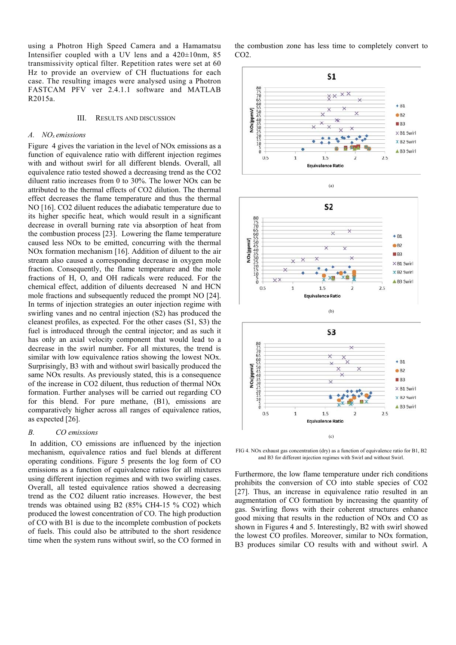using a Photron High Speed Camera and a Hamamatsu Intensifier coupled with a UV lens and a 420±10nm, 85 transmissivity optical filter. Repetition rates were set at 60 Hz to provide an overview of CH fluctuations for each case. The resulting images were analysed using a Photron FASTCAM PFV ver 2.4.1.1 software and MATLAB R2015a.

#### III. RESULTS AND DISCUSSION

## *A. NOx emissions*

Figure 4 gives the variation in the level of NOx emissions as a function of equivalence ratio with different injection regimes with and without swirl for all different blends. Overall, all equivalence ratio tested showed a decreasing trend as the CO2 diluent ratio increases from 0 to 30%. The lower NOx can be attributed to the thermal effects of CO2 dilution. The thermal effect decreases the flame temperature and thus the thermal NO [16]. CO2 diluent reduces the adiabatic temperature due to its higher specific heat, which would result in a significant decrease in overall burning rate via absorption of heat from the combustion process [23]. Lowering the flame temperature caused less NOx to be emitted, concurring with the thermal NOx formation mechanism [16]. Addition of diluent to the air stream also caused a corresponding decrease in oxygen mole fraction. Consequently, the flame temperature and the mole fractions of H, O, and OH radicals were reduced. For the chemical effect, addition of diluents decreased N and HCN mole fractions and subsequently reduced the prompt NO [24]. In terms of injection strategies an outer injection regime with swirling vanes and no central injection (S2) has produced the cleanest profiles, as expected. For the other cases (S1, S3) the fuel is introduced through the central injector; and as such it has only an axial velocity component that would lead to a decrease in the swirl number**.** For all mixtures, the trend is similar with low equivalence ratios showing the lowest NO<sub>x</sub>. Surprisingly, B3 with and without swirl basically produced the same NOx results. As previously stated, this is a consequence of the increase in CO2 diluent, thus reduction of thermal NOx formation. Further analyses will be carried out regarding CO for this blend. For pure methane, (B1), emissions are comparatively higher across all ranges of equivalence ratios, as expected [26].

## *B. CO emissions*

 In addition, CO emissions are influenced by the injection mechanism, equivalence ratios and fuel blends at different operating conditions. Figure 5 presents the log form of CO emissions as a function of equivalence ratios for all mixtures using different injection regimes and with two swirling cases. Overall, all tested equivalence ratios showed a decreasing trend as the CO2 diluent ratio increases. However, the best trends was obtained using B2 (85% CH4-15 % CO2) which produced the lowest concentration of CO. The high production of CO with B1 is due to the incomplete combustion of pockets of fuels. This could also be attributed to the short residence time when the system runs without swirl, so the CO formed in

the combustion zone has less time to completely convert to CO2.



 $\overline{\times}$ 

 $\overline{1}$ 

 $0.5$ 

 $B3$ 

 $2.5$ 

 $\times$  B1 Swirl **X B2 Swirl AB3** Swirl



 $1.5$ 

**Equivalence Ratio** 

FIG 4. NOx exhaust gas concentration (dry) as a function of equivalence ratio for B1, B2 and B3 for different injection regimes with Swirl and without Swirl.

Furthermore, the low flame temperature under rich conditions prohibits the conversion of CO into stable species of CO2 [27]. Thus, an increase in equivalence ratio resulted in an augmentation of CO formation by increasing the quantity of gas. Swirling flows with their coherent structures enhance good mixing that results in the reduction of NOx and CO as shown in Figures 4 and 5. Interestingly, B2 with swirl showed the lowest CO profiles. Moreover, similar to NOx formation, B3 produces similar CO results with and without swirl. A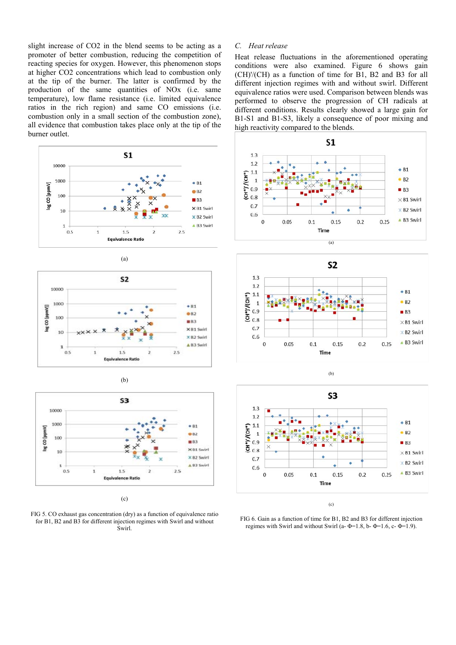slight increase of CO2 in the blend seems to be acting as a promoter of better combustion, reducing the competition of reacting species for oxygen. However, this phenomenon stops at higher CO2 concentrations which lead to combustion only at the tip of the burner. The latter is confirmed by the production of the same quantities of NOx (i.e. same temperature), low flame resistance (i.e. limited equivalence ratios in the rich region) and same CO emissions (i.e. combustion only in a small section of the combustion zone), all evidence that combustion takes place only at the tip of the burner outlet.









FIG 5. CO exhaust gas concentration (dry) as a function of equivalence ratio for B1, B2 and B3 for different injection regimes with Swirl and without Swirl.

# *C. Heat release*

Heat release fluctuations in the aforementioned operating conditions were also examined. Figure 6 shows gain (CH)'/(CH) as a function of time for B1, B2 and B3 for all different injection regimes with and without swirl. Different equivalence ratios were used. Comparison between blends was performed to observe the progression of CH radicals at different conditions. Results clearly showed a large gain for B1-S1 and B1-S3, likely a consequence of poor mixing and high reactivity compared to the blends.









(c)

FIG 6. Gain as a function of time for B1, B2 and B3 for different injection regimes with Swirl and without Swirl (a- $\Phi$ =1.8, b- $\Phi$ =1.6, c- $\Phi$ =1.9).